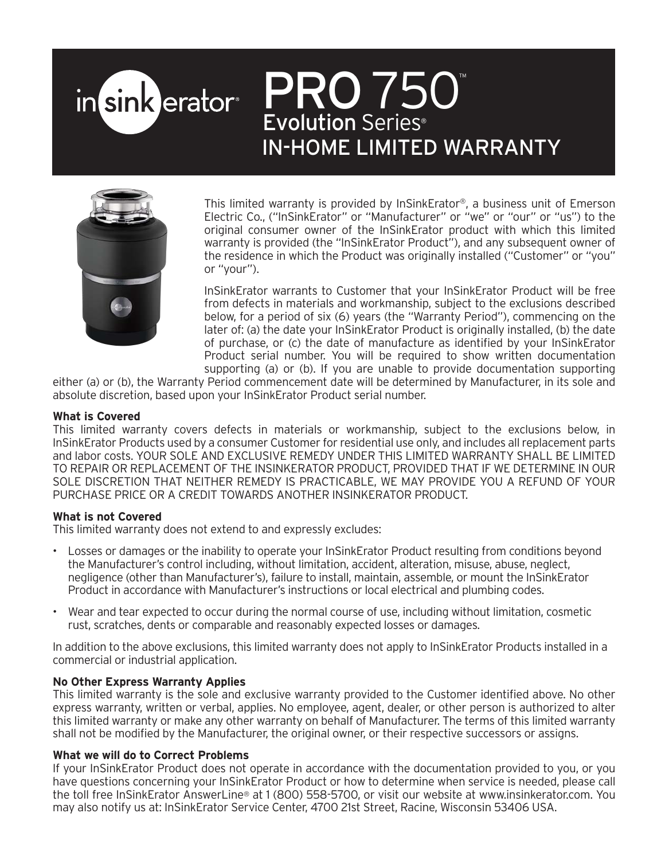# PRO 750 in sink erator<sup>®</sup> Evolution Series IN-HOME LIMITED WARRANTY



This limited warranty is provided by InSinkErator®, a business unit of Emerson Electric Co., ("InSinkErator" or "Manufacturer" or "we" or "our" or "us") to the original consumer owner of the InSinkErator product with which this limited warranty is provided (the "InSinkErator Product"), and any subsequent owner of the residence in which the Product was originally installed ("Customer" or "you" or "your").

InSinkErator warrants to Customer that your InSinkErator Product will be free from defects in materials and workmanship, subject to the exclusions described below, for a period of six (6) years (the "Warranty Period"), commencing on the later of: (a) the date your InSinkErator Product is originally installed, (b) the date of purchase, or (c) the date of manufacture as identified by your InSinkErator Product serial number. You will be required to show written documentation supporting (a) or (b). If you are unable to provide documentation supporting

either (a) or (b), the Warranty Period commencement date will be determined by Manufacturer, in its sole and absolute discretion, based upon your InSinkErator Product serial number.

## **What is Covered**

This limited warranty covers defects in materials or workmanship, subject to the exclusions below, in InSinkErator Products used by a consumer Customer for residential use only, and includes all replacement parts and labor costs. YOUR SOLE AND EXCLUSIVE REMEDY UNDER THIS LIMITED WARRANTY SHALL BE LIMITED TO REPAIR OR REPLACEMENT OF THE INSINKERATOR PRODUCT, PROVIDED THAT IF WE DETERMINE IN OUR SOLE DISCRETION THAT NEITHER REMEDY IS PRACTICABLE, WE MAY PROVIDE YOU A REFUND OF YOUR PURCHASE PRICE OR A CREDIT TOWARDS ANOTHER INSINKERATOR PRODUCT.

## **What is not Covered**

This limited warranty does not extend to and expressly excludes:

- Losses or damages or the inability to operate your InSinkErator Product resulting from conditions beyond the Manufacturer's control including, without limitation, accident, alteration, misuse, abuse, neglect, negligence (other than Manufacturer's), failure to install, maintain, assemble, or mount the InSinkErator Product in accordance with Manufacturer's instructions or local electrical and plumbing codes.
- Wear and tear expected to occur during the normal course of use, including without limitation, cosmetic rust, scratches, dents or comparable and reasonably expected losses or damages.

In addition to the above exclusions, this limited warranty does not apply to InSinkErator Products installed in a commercial or industrial application.

## **No Other Express Warranty Applies**

This limited warranty is the sole and exclusive warranty provided to the Customer identified above. No other express warranty, written or verbal, applies. No employee, agent, dealer, or other person is authorized to alter this limited warranty or make any other warranty on behalf of Manufacturer. The terms of this limited warranty shall not be modified by the Manufacturer, the original owner, or their respective successors or assigns.

## **What we will do to Correct Problems**

If your InSinkErator Product does not operate in accordance with the documentation provided to you, or you have questions concerning your InSinkErator Product or how to determine when service is needed, please call the toll free InSinkErator AnswerLine® at 1 (800) 558-5700, or visit our website at www.insinkerator.com. You may also notify us at: InSinkErator Service Center, 4700 21st Street, Racine, Wisconsin 53406 USA.